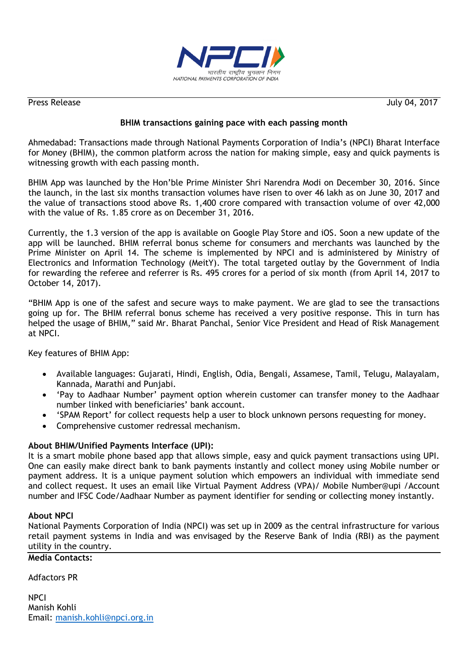

Press Release July 04, 2017

## **BHIM transactions gaining pace with each passing month**

Ahmedabad: Transactions made through National Payments Corporation of India"s (NPCI) Bharat Interface for Money (BHIM), the common platform across the nation for making simple, easy and quick payments is witnessing growth with each passing month.

BHIM App was launched by the Hon"ble Prime Minister Shri Narendra Modi on December 30, 2016. Since the launch, in the last six months transaction volumes have risen to over 46 lakh as on June 30, 2017 and the value of transactions stood above Rs. 1,400 crore compared with transaction volume of over 42,000 with the value of Rs. 1.85 crore as on December 31, 2016.

Currently, the 1.3 version of the app is available on Google Play Store and iOS. Soon a new update of the app will be launched. BHIM referral bonus scheme for consumers and merchants was launched by the Prime Minister on April 14. The scheme is implemented by NPCI and is administered by Ministry of Electronics and Information Technology (MeitY). The total targeted outlay by the Government of India for rewarding the referee and referrer is Rs. 495 crores for a period of six month (from April 14, 2017 to October 14, 2017).

"BHIM App is one of the safest and secure ways to make payment. We are glad to see the transactions going up for. The BHIM referral bonus scheme has received a very positive response. This in turn has helped the usage of BHIM," said Mr. Bharat Panchal, Senior Vice President and Head of Risk Management at NPCI.

Key features of BHIM App:

- Available languages: Gujarati, Hindi, English, Odia, Bengali, Assamese, Tamil, Telugu, Malayalam, Kannada, Marathi and Punjabi.
- "Pay to Aadhaar Number" payment option wherein customer can transfer money to the Aadhaar number linked with beneficiaries" bank account.
- 'SPAM Report' for collect requests help a user to block unknown persons requesting for money.
- Comprehensive customer redressal mechanism.

## **About BHIM/Unified Payments Interface (UPI):**

It is a smart mobile phone based app that allows simple, easy and quick payment transactions using UPI. One can easily make direct bank to bank payments instantly and collect money using Mobile number or payment address. It is a unique payment solution which empowers an individual with immediate send and collect request. It uses an email like Virtual Payment Address (VPA)/ Mobile Number@upi /Account number and IFSC Code/Aadhaar Number as payment identifier for sending or collecting money instantly.

## **About NPCI**

National Payments Corporation of India (NPCI) was set up in 2009 as the central infrastructure for various retail payment systems in India and was envisaged by the Reserve Bank of India (RBI) as the payment utility in the country.

## **Media Contacts:**

Adfactors PR